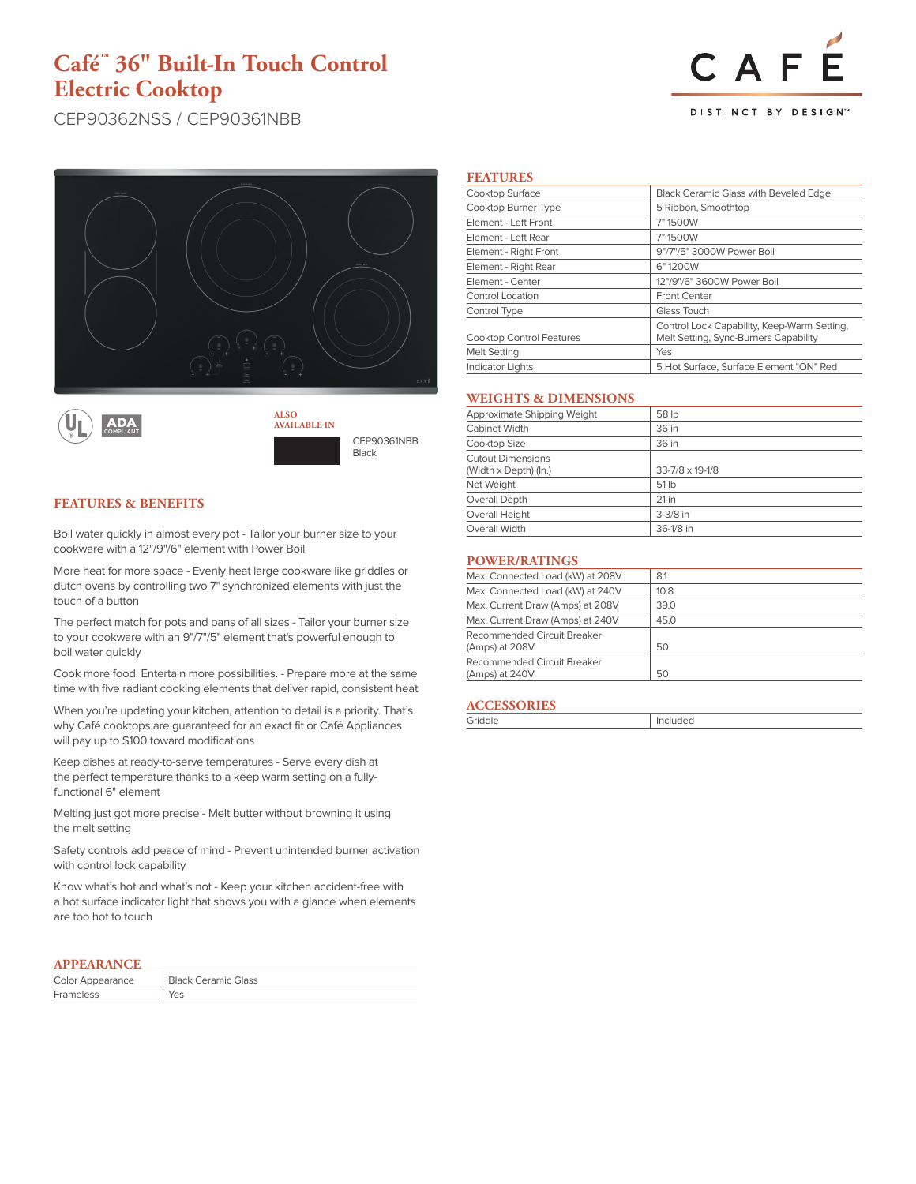## **Café™ 36" Built-In Touch Control Electric Cooktop**

# CAF DISTINCT BY DESIGN<sup>®</sup>

CEP90362NSS / CEP90361NBB





CEP90361NBB Black **AVAILABLE IN**

## **FEATURES & BENEFITS**

Boil water quickly in almost every pot - Tailor your burner size to your cookware with a 12"/9"/6" element with Power Boil

More heat for more space - Evenly heat large cookware like griddles or dutch ovens by controlling two 7" synchronized elements with just the touch of a button

The perfect match for pots and pans of all sizes - Tailor your burner size to your cookware with an 9"/7"/5" element that's powerful enough to boil water quickly

Cook more food. Entertain more possibilities. - Prepare more at the same time with five radiant cooking elements that deliver rapid, consistent heat

When you're updating your kitchen, attention to detail is a priority. That's why Café cooktops are guaranteed for an exact fit or Café Appliances will pay up to \$100 toward modifications

Keep dishes at ready-to-serve temperatures - Serve every dish at the perfect temperature thanks to a keep warm setting on a fullyfunctional 6" element

Melting just got more precise - Melt butter without browning it using the melt setting

Safety controls add peace of mind - Prevent unintended burner activation with control lock capability

Know what's hot and what's not - Keep your kitchen accident-free with a hot surface indicator light that shows you with a glance when elements are too hot to touch

### **APPEARANCE**

| Color Appearance | <b>Black Ceramic Glass</b> |
|------------------|----------------------------|
| Frameless        |                            |

#### **FEATURES**

| Cooktop Surface                 | <b>Black Ceramic Glass with Beveled Edge</b>                                         |  |
|---------------------------------|--------------------------------------------------------------------------------------|--|
| Cooktop Burner Type             | 5 Ribbon, Smoothtop                                                                  |  |
| Element - Left Front            | 7" 1500W                                                                             |  |
| Element - Left Rear             | 7" 1500W                                                                             |  |
| Element - Right Front           | 9"/7"/5" 3000W Power Boil                                                            |  |
| Element - Right Rear            | 6"1200W                                                                              |  |
| Element - Center                | 12"/9"/6" 3600W Power Boil                                                           |  |
| Control Location                | Front Center                                                                         |  |
| Control Type                    | Glass Touch                                                                          |  |
| <b>Cooktop Control Features</b> | Control Lock Capability, Keep-Warm Setting,<br>Melt Setting, Sync-Burners Capability |  |
| <b>Melt Setting</b>             | Yes                                                                                  |  |
| <b>Indicator Lights</b>         | 5 Hot Surface, Surface Element "ON" Red                                              |  |

#### **WEIGHTS & DIMENSIONS**

| Approximate Shipping Weight                       | 58 lb           |
|---------------------------------------------------|-----------------|
| Cabinet Width                                     | 36 in           |
| Cooktop Size                                      | 36 in           |
| <b>Cutout Dimensions</b><br>(Width x Depth) (In.) | 33-7/8 x 19-1/8 |
| Net Weight                                        | 51 lb           |
| Overall Depth                                     | $21$ in         |
| Overall Height                                    | $3-3/8$ in      |
| Overall Width                                     | 36-1/8 in       |
|                                                   |                 |

#### **POWER/RATINGS**

| Max. Connected Load (kW) at 208V              | 8.1  |
|-----------------------------------------------|------|
| Max. Connected Load (kW) at 240V              | 10.8 |
| Max. Current Draw (Amps) at 208V              | 39.0 |
| Max. Current Draw (Amps) at 240V              | 45.0 |
| Recommended Circuit Breaker<br>(Amps) at 208V | 50   |
| Recommended Circuit Breaker                   |      |
| (Amps) at 240V                                | 50   |
|                                               |      |

#### **ACCESSORIES**

| Griddle | Included |
|---------|----------|
|         |          |